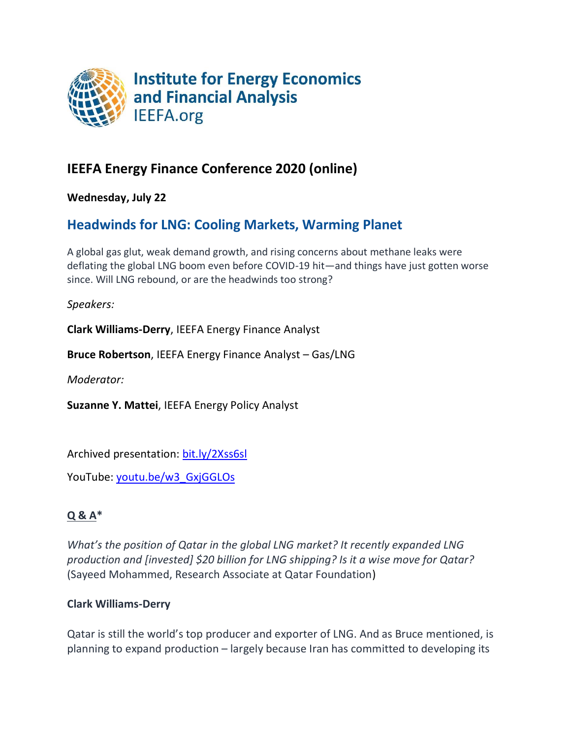

# **IEEFA Energy Finance Conference 2020 (online)**

**Wednesday, July 22**

# **Headwinds for LNG: Cooling Markets, Warming Planet**

A global gas glut, weak demand growth, and rising concerns about methane leaks were deflating the global LNG boom even before COVID-19 hit—and things have just gotten worse since. Will LNG rebound, or are the headwinds too strong?

*Speakers:*

**Clark Williams-Derry**, IEEFA Energy Finance Analyst

**Bruce Robertson**, IEEFA Energy Finance Analyst – Gas/LNG

*Moderator:*

**Suzanne Y. Mattei**, IEEFA Energy Policy Analyst

Archived presentation: [bit.ly/2Xss6sl](https://app.swapcard.com/event/energy-finance-2020-conference/planning/UGxhbm5pbmdfMTA3NzY4)

YouTube: [youtu.be/w3\\_GxjGGLOs](https://youtu.be/w3_GxjGGLOs)

# **Q & A\***

*What's the position of Qatar in the global LNG market? It recently expanded LNG production and [invested] \$20 billion for LNG shipping? Is it a wise move for Qatar?* (Sayeed Mohammed, Research Associate at Qatar Foundation)

# **Clark Williams-Derry**

Qatar is still the world's top producer and exporter of LNG. And as Bruce mentioned, is planning to expand production – largely because Iran has committed to developing its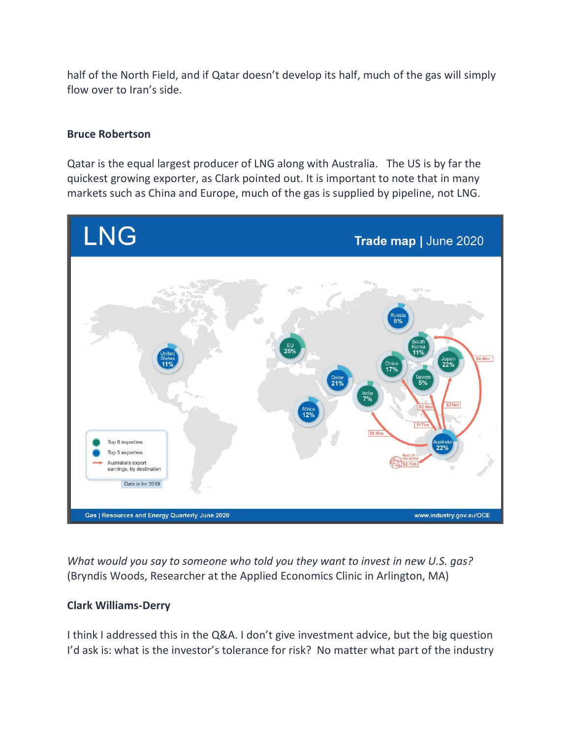half of the North Field, and if Qatar doesn't develop its half, much of the gas will simply flow over to Iran's side.

### **Bruce Robertson**

Qatar is the equal largest producer of LNG along with Australia. The US is by far the quickest growing exporter, as Clark pointed out. It is important to note that in many markets such as China and Europe, much of the gas is supplied by pipeline, not LNG.



*What would you say to someone who told you they want to invest in new U.S. gas?*  (Bryndis Woods, Researcher at the Applied Economics Clinic in Arlington, MA)

### **Clark Williams-Derry**

I think I addressed this in the Q&A. I don't give investment advice, but the big question I'd ask is: what is the investor's tolerance for risk? No matter what part of the industry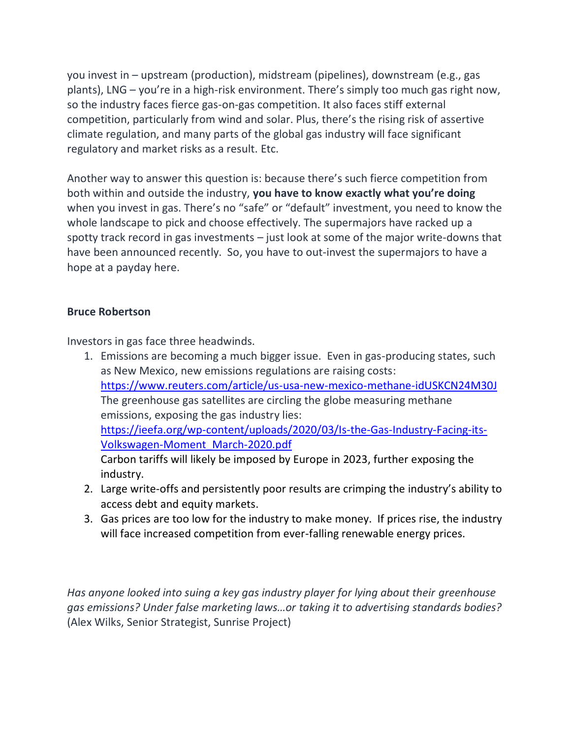you invest in – upstream (production), midstream (pipelines), downstream (e.g., gas plants), LNG – you're in a high-risk environment. There's simply too much gas right now, so the industry faces fierce gas-on-gas competition. It also faces stiff external competition, particularly from wind and solar. Plus, there's the rising risk of assertive climate regulation, and many parts of the global gas industry will face significant regulatory and market risks as a result. Etc.

Another way to answer this question is: because there's such fierce competition from both within and outside the industry, **you have to know exactly what you're doing** when you invest in gas. There's no "safe" or "default" investment, you need to know the whole landscape to pick and choose effectively. The supermajors have racked up a spotty track record in gas investments – just look at some of the major write-downs that have been announced recently. So, you have to out-invest the supermajors to have a hope at a payday here.

## **Bruce Robertson**

Investors in gas face three headwinds.

- 1. Emissions are becoming a much bigger issue. Even in gas-producing states, such as New Mexico, new emissions regulations are raising costs: <https://www.reuters.com/article/us-usa-new-mexico-methane-idUSKCN24M30J> The greenhouse gas satellites are circling the globe measuring methane emissions, exposing the gas industry lies: [https://ieefa.org/wp-content/uploads/2020/03/Is-the-Gas-Industry-Facing-its-](https://ieefa.org/wp-content/uploads/2020/03/Is-the-Gas-Industry-Facing-its-Volkswagen-Moment_March-2020.pdf)[Volkswagen-Moment\\_March-2020.pdf](https://ieefa.org/wp-content/uploads/2020/03/Is-the-Gas-Industry-Facing-its-Volkswagen-Moment_March-2020.pdf) Carbon tariffs will likely be imposed by Europe in 2023, further exposing the industry.
- 2. Large write-offs and persistently poor results are crimping the industry's ability to access debt and equity markets.
- 3. Gas prices are too low for the industry to make money. If prices rise, the industry will face increased competition from ever-falling renewable energy prices.

*Has anyone looked into suing a key gas industry player for lying about their greenhouse gas emissions? Under false marketing laws…or taking it to advertising standards bodies?* (Alex Wilks, Senior Strategist, Sunrise Project)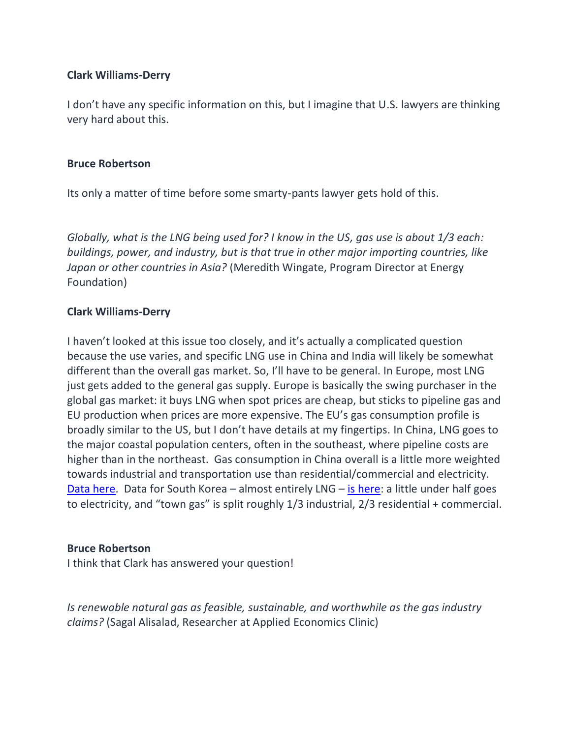## **Clark Williams-Derry**

I don't have any specific information on this, but I imagine that U.S. lawyers are thinking very hard about this.

### **Bruce Robertson**

Its only a matter of time before some smarty-pants lawyer gets hold of this.

*Globally, what is the LNG being used for? I know in the US, gas use is about 1/3 each: buildings, power, and industry, but is that true in other major importing countries, like Japan or other countries in Asia?* (Meredith Wingate, Program Director at Energy Foundation)

# **Clark Williams-Derry**

I haven't looked at this issue too closely, and it's actually a complicated question because the use varies, and specific LNG use in China and India will likely be somewhat different than the overall gas market. So, I'll have to be general. In Europe, most LNG just gets added to the general gas supply. Europe is basically the swing purchaser in the global gas market: it buys LNG when spot prices are cheap, but sticks to pipeline gas and EU production when prices are more expensive. The EU's gas consumption profile is broadly similar to the US, but I don't have details at my fingertips. In China, LNG goes to the major coastal population centers, often in the southeast, where pipeline costs are higher than in the northeast. Gas consumption in China overall is a little more weighted towards industrial and transportation use than residential/commercial and electricity. [Data here.](https://www.iea.org/data-and-statistics/charts/chinese-natural-gas-consumption-by-sector-2005-2023) Data for South Korea – almost entirely LNG – [is here:](http://www.keei.re.kr/main.nsf/index_en.html?open&p=%2Fweb_keei%2Fen_publish.nsf%2Fby_review_monthly%2F17F378896A3F48F3492584F00023B0F5&s=%3Fopendocument%26menucode%3DES165%26category%3DKorea%2520Energy%2520Review%2520Monthly) a little under half goes to electricity, and "town gas" is split roughly 1/3 industrial, 2/3 residential + commercial.

### **Bruce Robertson**

I think that Clark has answered your question!

*Is renewable natural gas as feasible, sustainable, and worthwhile as the gas industry claims?* (Sagal Alisalad, Researcher at Applied Economics Clinic)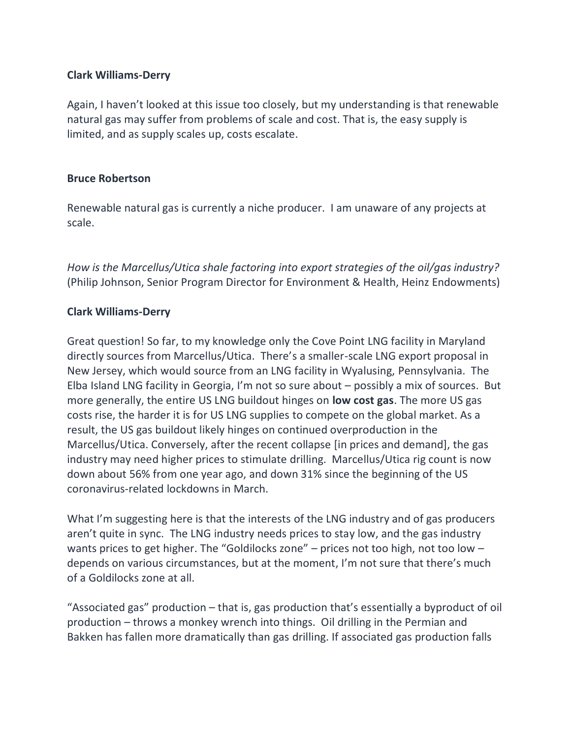## **Clark Williams-Derry**

Again, I haven't looked at this issue too closely, but my understanding is that renewable natural gas may suffer from problems of scale and cost. That is, the easy supply is limited, and as supply scales up, costs escalate.

### **Bruce Robertson**

Renewable natural gas is currently a niche producer. I am unaware of any projects at scale.

*How is the Marcellus/Utica shale factoring into export strategies of the oil/gas industry?* (Philip Johnson, Senior Program Director for Environment & Health, Heinz Endowments)

# **Clark Williams-Derry**

Great question! So far, to my knowledge only the Cove Point LNG facility in Maryland directly sources from Marcellus/Utica. There's a smaller-scale LNG export proposal in New Jersey, which would source from an LNG facility in Wyalusing, Pennsylvania. The Elba Island LNG facility in Georgia, I'm not so sure about – possibly a mix of sources. But more generally, the entire US LNG buildout hinges on **low cost gas**. The more US gas costs rise, the harder it is for US LNG supplies to compete on the global market. As a result, the US gas buildout likely hinges on continued overproduction in the Marcellus/Utica. Conversely, after the recent collapse [in prices and demand], the gas industry may need higher prices to stimulate drilling. Marcellus/Utica rig count is now down about 56% from one year ago, and down 31% since the beginning of the US coronavirus-related lockdowns in March.

What I'm suggesting here is that the interests of the LNG industry and of gas producers aren't quite in sync. The LNG industry needs prices to stay low, and the gas industry wants prices to get higher. The "Goldilocks zone" – prices not too high, not too low – depends on various circumstances, but at the moment, I'm not sure that there's much of a Goldilocks zone at all.

"Associated gas" production – that is, gas production that's essentially a byproduct of oil production – throws a monkey wrench into things. Oil drilling in the Permian and Bakken has fallen more dramatically than gas drilling. If associated gas production falls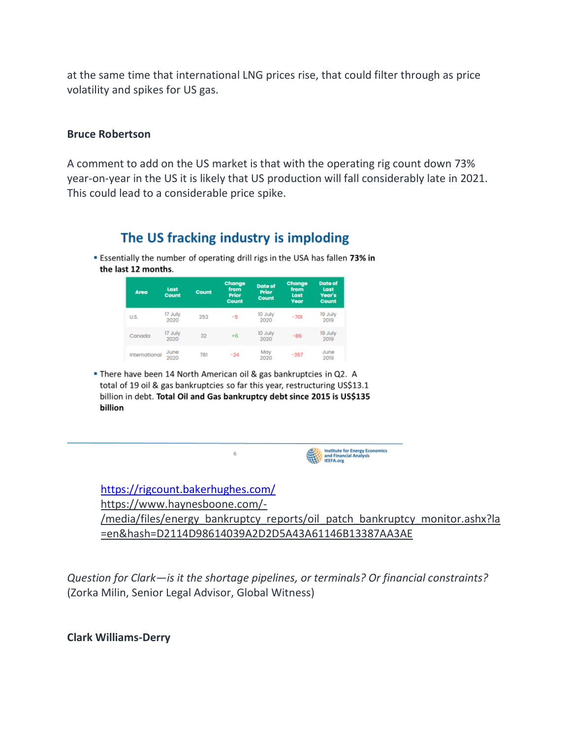at the same time that international LNG prices rise, that could filter through as price volatility and spikes for US gas.

#### **Bruce Robertson**

A comment to add on the US market is that with the operating rig count down 73% year-on-year in the US it is likely that US production will fall considerably late in 2021. This could lead to a considerable price spike.

# The US fracking industry is imploding

**Essentially the number of operating drill rigs in the USA has fallen 73% in** the last 12 months.

| Area          | Last<br>Count   | <b>Count</b> | Change<br>from<br><b>Prior</b><br><b>Count</b> | <b>Date of</b><br><b>Prior</b><br>Count | Change<br>from<br>Last<br>Year | <b>Date of</b><br>Last<br>Year's<br><b>Count</b> |
|---------------|-----------------|--------------|------------------------------------------------|-----------------------------------------|--------------------------------|--------------------------------------------------|
| U.S.          | 17 July<br>2020 | 253          | -5                                             | 10 July<br>2020                         | $-701$                         | 19 July<br>2019                                  |
| Canada        | 17 July<br>2020 | 32           | $+6$                                           | 10 July<br>2020                         | $-86$                          | 19 July<br>2019                                  |
| International | June<br>2020    | 781          | $-24$                                          | May<br>2020                             | $-357$                         | June<br>2019                                     |

. There have been 14 North American oil & gas bankruptcies in Q2. A total of 19 oil & gas bankruptcies so far this year, restructuring US\$13.1 billion in debt. Total Oil and Gas bankruptcy debt since 2015 is US\$135 billion



<https://rigcount.bakerhughes.com/> https://www.haynesboone.com/- /media/files/energy\_bankruptcy\_reports/oil\_patch\_bankruptcy\_monitor.ashx?la =en&hash=D2114D98614039A2D2D5A43A61146B13387AA3AE

*Question for Clark—is it the shortage pipelines, or terminals? Or financial constraints?* (Zorka Milin, Senior Legal Advisor, Global Witness)

**Clark Williams-Derry**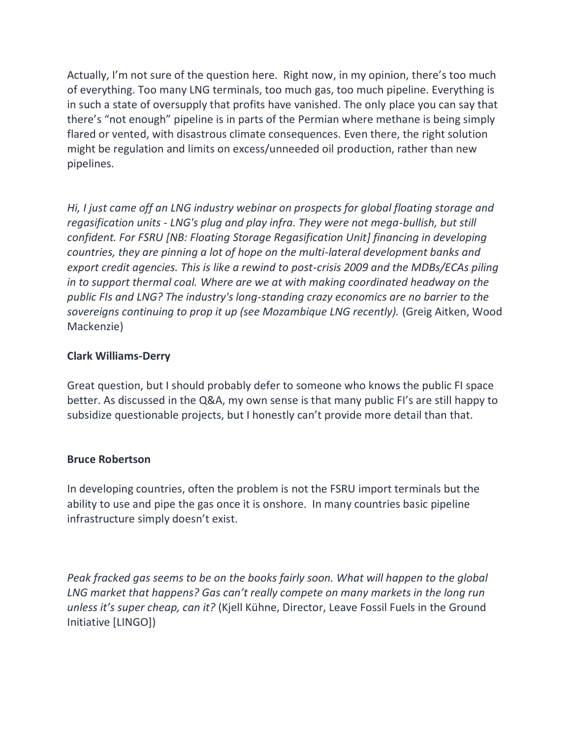Actually, I'm not sure of the question here. Right now, in my opinion, there's too much of everything. Too many LNG terminals, too much gas, too much pipeline. Everything is in such a state of oversupply that profits have vanished. The only place you can say that there's "not enough" pipeline is in parts of the Permian where methane is being simply flared or vented, with disastrous climate consequences. Even there, the right solution might be regulation and limits on excess/unneeded oil production, rather than new pipelines.

*Hi, I just came off an LNG industry webinar on prospects for global floating storage and regasification units - LNG's plug and play infra. They were not mega-bullish, but still confident. For FSRU [NB: Floating Storage Regasification Unit] financing in developing countries, they are pinning a lot of hope on the multi-lateral development banks and export credit agencies. This is like a rewind to post-crisis 2009 and the MDBs/ECAs piling in to support thermal coal. Where are we at with making coordinated headway on the public FIs and LNG? The industry's long-standing crazy economics are no barrier to the*  sovereigns continuing to prop it up (see Mozambique LNG recently). (Greig Aitken, Wood Mackenzie)

# **Clark Williams-Derry**

Great question, but I should probably defer to someone who knows the public FI space better. As discussed in the Q&A, my own sense is that many public FI's are still happy to subsidize questionable projects, but I honestly can't provide more detail than that.

### **Bruce Robertson**

In developing countries, often the problem is not the FSRU import terminals but the ability to use and pipe the gas once it is onshore. In many countries basic pipeline infrastructure simply doesn't exist.

*Peak fracked gas seems to be on the books fairly soon. What will happen to the global LNG market that happens? Gas can't really compete on many markets in the long run unless it's super cheap, can it?* (Kjell Kühne, Director, Leave Fossil Fuels in the Ground Initiative [LINGO])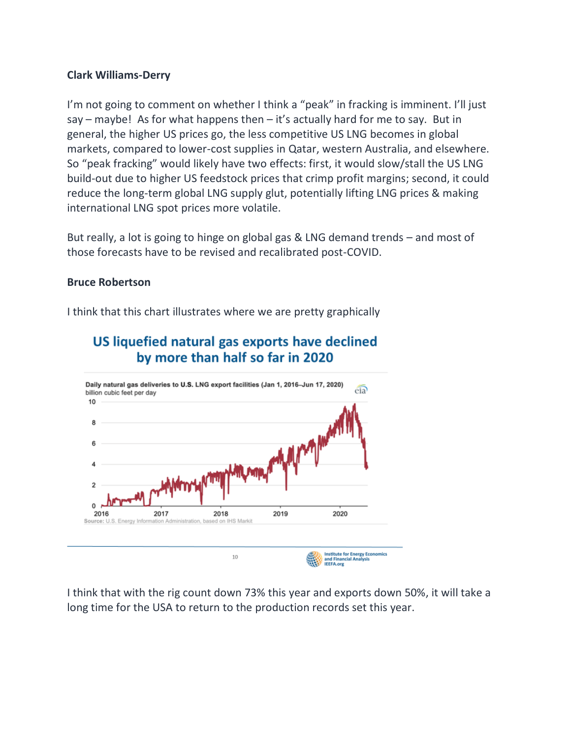## **Clark Williams-Derry**

I'm not going to comment on whether I think a "peak" in fracking is imminent. I'll just say – maybe! As for what happens then – it's actually hard for me to say. But in general, the higher US prices go, the less competitive US LNG becomes in global markets, compared to lower-cost supplies in Qatar, western Australia, and elsewhere. So "peak fracking" would likely have two effects: first, it would slow/stall the US LNG build-out due to higher US feedstock prices that crimp profit margins; second, it could reduce the long-term global LNG supply glut, potentially lifting LNG prices & making international LNG spot prices more volatile.

But really, a lot is going to hinge on global gas & LNG demand trends – and most of those forecasts have to be revised and recalibrated post-COVID.

### **Bruce Robertson**

I think that this chart illustrates where we are pretty graphically



# US liquefied natural gas exports have declined by more than half so far in 2020

I think that with the rig count down 73% this year and exports down 50%, it will take a long time for the USA to return to the production records set this year.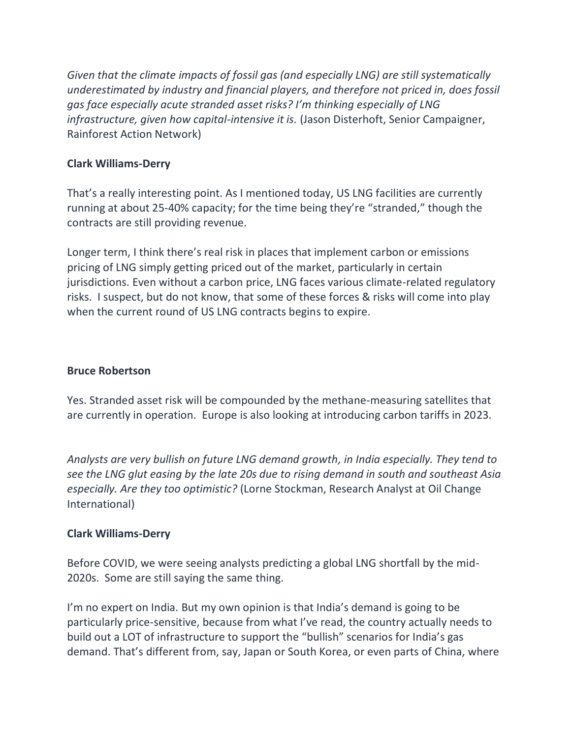*Given that the climate impacts of fossil gas (and especially LNG) are still systematically underestimated by industry and financial players, and therefore not priced in, does fossil gas face especially acute stranded asset risks? I'm thinking especially of LNG infrastructure, given how capital-intensive it is.* (Jason Disterhoft, Senior Campaigner, Rainforest Action Network)

# **Clark Williams-Derry**

That's a really interesting point. As I mentioned today, US LNG facilities are currently running at about 25-40% capacity; for the time being they're "stranded," though the contracts are still providing revenue.

Longer term, I think there's real risk in places that implement carbon or emissions pricing of LNG simply getting priced out of the market, particularly in certain jurisdictions. Even without a carbon price, LNG faces various climate-related regulatory risks. I suspect, but do not know, that some of these forces & risks will come into play when the current round of US LNG contracts begins to expire.

# **Bruce Robertson**

Yes. Stranded asset risk will be compounded by the methane-measuring satellites that are currently in operation. Europe is also looking at introducing carbon tariffs in 2023.

*Analysts are very bullish on future LNG demand growth, in India especially. They tend to see the LNG glut easing by the late 20s due to rising demand in south and southeast Asia especially. Are they too optimistic?* (Lorne Stockman, Research Analyst at Oil Change International)

# **Clark Williams-Derry**

Before COVID, we were seeing analysts predicting a global LNG shortfall by the mid-2020s. Some are still saying the same thing.

I'm no expert on India. But my own opinion is that India's demand is going to be particularly price-sensitive, because from what I've read, the country actually needs to build out a LOT of infrastructure to support the "bullish" scenarios for India's gas demand. That's different from, say, Japan or South Korea, or even parts of China, where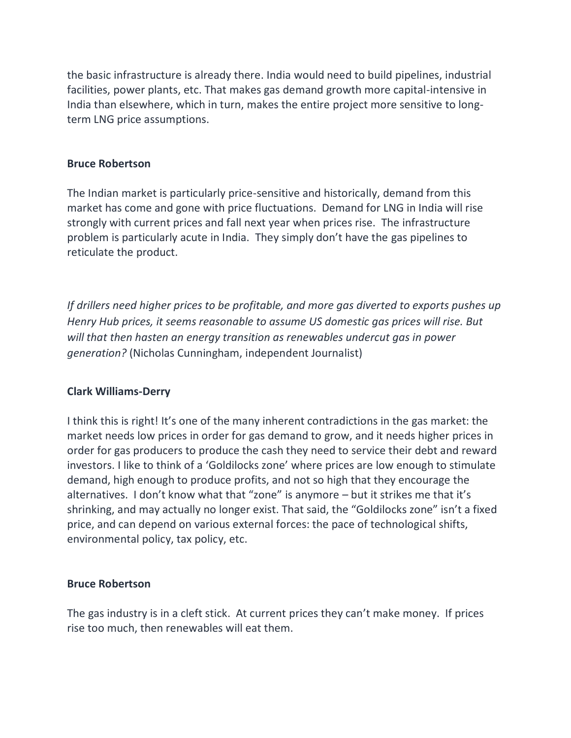the basic infrastructure is already there. India would need to build pipelines, industrial facilities, power plants, etc. That makes gas demand growth more capital-intensive in India than elsewhere, which in turn, makes the entire project more sensitive to longterm LNG price assumptions.

#### **Bruce Robertson**

The Indian market is particularly price-sensitive and historically, demand from this market has come and gone with price fluctuations. Demand for LNG in India will rise strongly with current prices and fall next year when prices rise. The infrastructure problem is particularly acute in India. They simply don't have the gas pipelines to reticulate the product.

*If drillers need higher prices to be profitable, and more gas diverted to exports pushes up Henry Hub prices, it seems reasonable to assume US domestic gas prices will rise. But will that then hasten an energy transition as renewables undercut gas in power generation?* (Nicholas Cunningham, independent Journalist)

### **Clark Williams-Derry**

I think this is right! It's one of the many inherent contradictions in the gas market: the market needs low prices in order for gas demand to grow, and it needs higher prices in order for gas producers to produce the cash they need to service their debt and reward investors. I like to think of a 'Goldilocks zone' where prices are low enough to stimulate demand, high enough to produce profits, and not so high that they encourage the alternatives. I don't know what that "zone" is anymore – but it strikes me that it's shrinking, and may actually no longer exist. That said, the "Goldilocks zone" isn't a fixed price, and can depend on various external forces: the pace of technological shifts, environmental policy, tax policy, etc.

### **Bruce Robertson**

The gas industry is in a cleft stick. At current prices they can't make money. If prices rise too much, then renewables will eat them.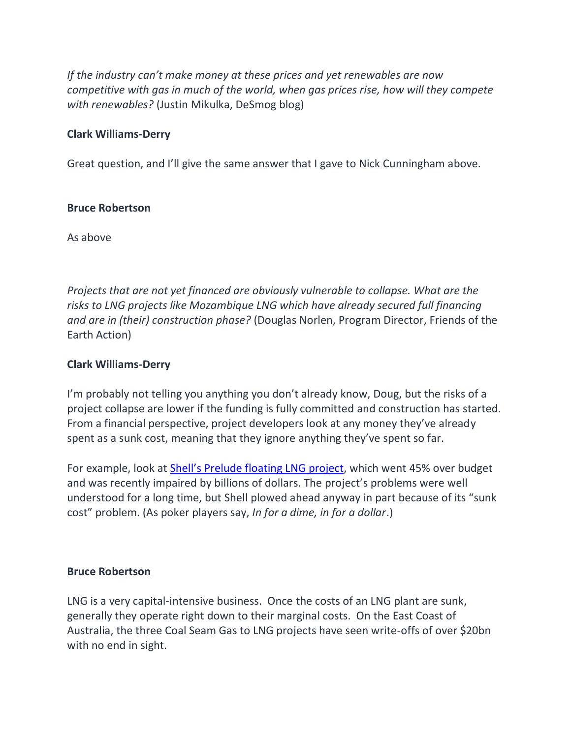*If the industry can't make money at these prices and yet renewables are now competitive with gas in much of the world, when gas prices rise, how will they compete with renewables?* (Justin Mikulka, DeSmog blog)

## **Clark Williams-Derry**

Great question, and I'll give the same answer that I gave to Nick Cunningham above.

### **Bruce Robertson**

As above

*Projects that are not yet financed are obviously vulnerable to collapse. What are the risks to LNG projects like Mozambique LNG which have already secured full financing and are in (their) construction phase?* (Douglas Norlen, Program Director, Friends of the Earth Action)

## **Clark Williams-Derry**

I'm probably not telling you anything you don't already know, Doug, but the risks of a project collapse are lower if the funding is fully committed and construction has started. From a financial perspective, project developers look at any money they've already spent as a sunk cost, meaning that they ignore anything they've spent so far.

For example, look at Shell's P[relude floating LNG project,](https://www.forbes.com/sites/timtreadgold/2020/06/23/shells-12-billion-lng-experiment-becomes-a-big-headache/#5b0073f21107) which went 45% over budget and was recently impaired by billions of dollars. The project's problems were well understood for a long time, but Shell plowed ahead anyway in part because of its "sunk cost" problem. (As poker players say, *In for a dime, in for a dollar*.)

### **Bruce Robertson**

LNG is a very capital-intensive business. Once the costs of an LNG plant are sunk, generally they operate right down to their marginal costs. On the East Coast of Australia, the three Coal Seam Gas to LNG projects have seen write-offs of over \$20bn with no end in sight.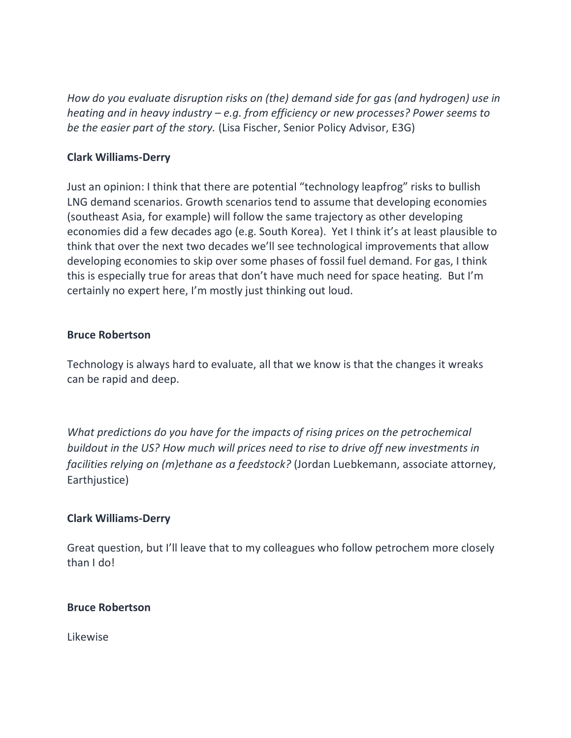*How do you evaluate disruption risks on (the) demand side for gas (and hydrogen) use in heating and in heavy industry – e.g. from efficiency or new processes? Power seems to be the easier part of the story.* (Lisa Fischer, Senior Policy Advisor, E3G)

## **Clark Williams-Derry**

Just an opinion: I think that there are potential "technology leapfrog" risks to bullish LNG demand scenarios. Growth scenarios tend to assume that developing economies (southeast Asia, for example) will follow the same trajectory as other developing economies did a few decades ago (e.g. South Korea). Yet I think it's at least plausible to think that over the next two decades we'll see technological improvements that allow developing economies to skip over some phases of fossil fuel demand. For gas, I think this is especially true for areas that don't have much need for space heating. But I'm certainly no expert here, I'm mostly just thinking out loud.

#### **Bruce Robertson**

Technology is always hard to evaluate, all that we know is that the changes it wreaks can be rapid and deep.

*What predictions do you have for the impacts of rising prices on the petrochemical buildout in the US? How much will prices need to rise to drive off new investments in facilities relying on (m)ethane as a feedstock?* (Jordan Luebkemann, associate attorney, Earthjustice)

### **Clark Williams-Derry**

Great question, but I'll leave that to my colleagues who follow petrochem more closely than I do!

#### **Bruce Robertson**

Likewise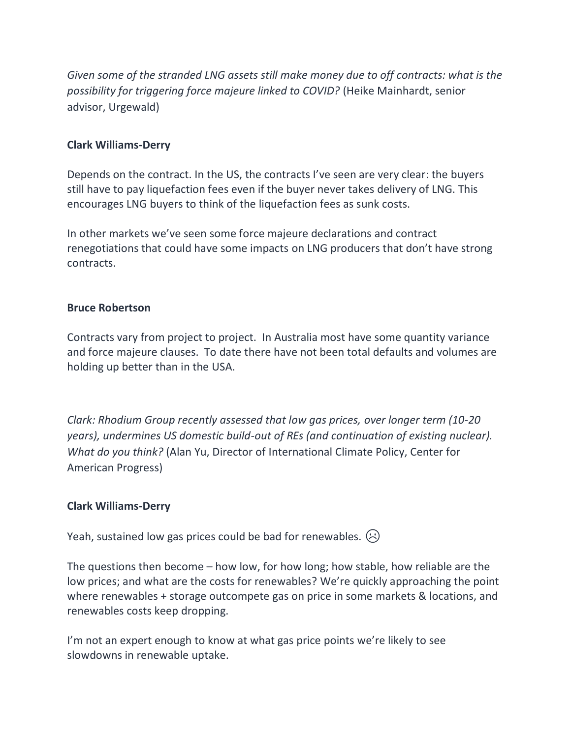*Given some of the stranded LNG assets still make money due to off contracts: what is the possibility for triggering force majeure linked to COVID?* (Heike Mainhardt, senior advisor, Urgewald)

## **Clark Williams-Derry**

Depends on the contract. In the US, the contracts I've seen are very clear: the buyers still have to pay liquefaction fees even if the buyer never takes delivery of LNG. This encourages LNG buyers to think of the liquefaction fees as sunk costs.

In other markets we've seen some force majeure declarations and contract renegotiations that could have some impacts on LNG producers that don't have strong contracts.

### **Bruce Robertson**

Contracts vary from project to project. In Australia most have some quantity variance and force majeure clauses. To date there have not been total defaults and volumes are holding up better than in the USA.

*Clark: Rhodium Group recently assessed that low gas prices, over longer term (10-20 years), undermines US domestic build-out of REs (and continuation of existing nuclear). What do you think?* (Alan Yu, Director of International Climate Policy, Center for American Progress)

# **Clark Williams-Derry**

Yeah, sustained low gas prices could be bad for renewables.  $\langle \cdot \rangle$ 

The questions then become – how low, for how long; how stable, how reliable are the low prices; and what are the costs for renewables? We're quickly approaching the point where renewables + storage outcompete gas on price in some markets & locations, and renewables costs keep dropping.

I'm not an expert enough to know at what gas price points we're likely to see slowdowns in renewable uptake.